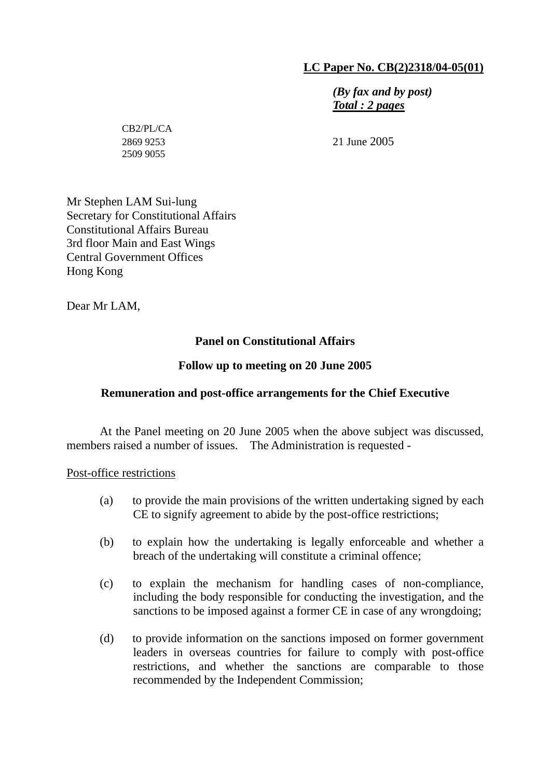# **LC Paper No. CB(2)2318/04-05(01)**

*(By fax and by post) Total : 2 pages*

 $CP2/PI$  / $CA$ 2509 9055

2869 9253 21 June 2005

Mr Stephen LAM Sui-lung Secretary for Constitutional Affairs Constitutional Affairs Bureau 3rd floor Main and East Wings Central Government Offices Hong Kong

Dear Mr LAM,

# **Panel on Constitutional Affairs**

# **Follow up to meeting on 20 June 2005**

## **Remuneration and post-office arrangements for the Chief Executive**

 At the Panel meeting on 20 June 2005 when the above subject was discussed, members raised a number of issues. The Administration is requested -

Post-office restrictions

- (a) to provide the main provisions of the written undertaking signed by each CE to signify agreement to abide by the post-office restrictions;
- (b) to explain how the undertaking is legally enforceable and whether a breach of the undertaking will constitute a criminal offence;
- (c) to explain the mechanism for handling cases of non-compliance, including the body responsible for conducting the investigation, and the sanctions to be imposed against a former CE in case of any wrongdoing;
- (d) to provide information on the sanctions imposed on former government leaders in overseas countries for failure to comply with post-office restrictions, and whether the sanctions are comparable to those recommended by the Independent Commission;